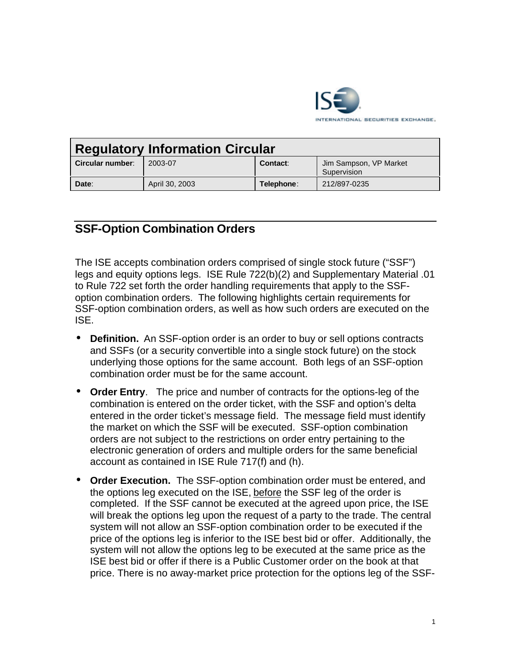

| <b>Regulatory Information Circular</b> |                |            |                                       |
|----------------------------------------|----------------|------------|---------------------------------------|
| Circular number:                       | 2003-07        | Contact:   | Jim Sampson, VP Market<br>Supervision |
| Date:                                  | April 30, 2003 | Telephone: | 212/897-0235                          |

## **SSF-Option Combination Orders**

The ISE accepts combination orders comprised of single stock future ("SSF") legs and equity options legs. ISE Rule 722(b)(2) and Supplementary Material .01 to Rule 722 set forth the order handling requirements that apply to the SSFoption combination orders. The following highlights certain requirements for SSF-option combination orders, as well as how such orders are executed on the ISE.

- **Definition.** An SSF-option order is an order to buy or sell options contracts and SSFs (or a security convertible into a single stock future) on the stock underlying those options for the same account. Both legs of an SSF-option combination order must be for the same account.
- **Order Entry**. The price and number of contracts for the options-leg of the combination is entered on the order ticket, with the SSF and option's delta entered in the order ticket's message field. The message field must identify the market on which the SSF will be executed. SSF-option combination orders are not subject to the restrictions on order entry pertaining to the electronic generation of orders and multiple orders for the same beneficial account as contained in ISE Rule 717(f) and (h).
- **Order Execution.** The SSF-option combination order must be entered, and the options leg executed on the ISE, before the SSF leg of the order is completed. If the SSF cannot be executed at the agreed upon price, the ISE will break the options leg upon the request of a party to the trade. The central system will not allow an SSF-option combination order to be executed if the price of the options leg is inferior to the ISE best bid or offer. Additionally, the system will not allow the options leg to be executed at the same price as the ISE best bid or offer if there is a Public Customer order on the book at that price. There is no away-market price protection for the options leg of the SSF-